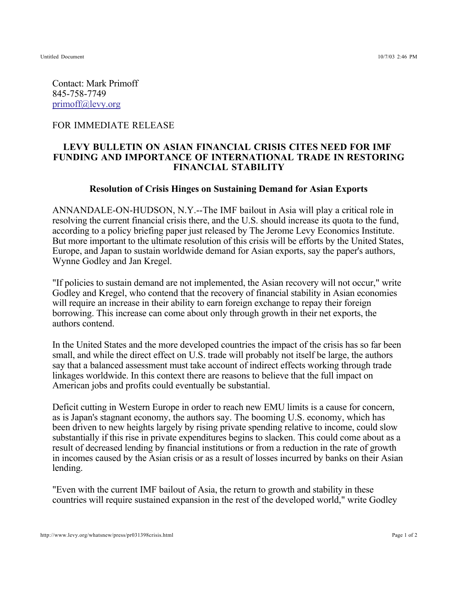Untitled Document 10/7/03 2:46 PM

Contact: Mark Primoff 845-758-7749 primoff@levy.org

## FOR IMMEDIATE RELEASE

## **LEVY BULLETIN ON ASIAN FINANCIAL CRISIS CITES NEED FOR IMF FUNDING AND IMPORTANCE OF INTERNATIONAL TRADE IN RESTORING FINANCIAL STABILITY**

## **Resolution of Crisis Hinges on Sustaining Demand for Asian Exports**

ANNANDALE-ON-HUDSON, N.Y.--The IMF bailout in Asia will play a critical role in resolving the current financial crisis there, and the U.S. should increase its quota to the fund, according to a policy briefing paper just released by The Jerome Levy Economics Institute. But more important to the ultimate resolution of this crisis will be efforts by the United States, Europe, and Japan to sustain worldwide demand for Asian exports, say the paper's authors, Wynne Godley and Jan Kregel.

"If policies to sustain demand are not implemented, the Asian recovery will not occur," write Godley and Kregel, who contend that the recovery of financial stability in Asian economies will require an increase in their ability to earn foreign exchange to repay their foreign borrowing. This increase can come about only through growth in their net exports, the authors contend.

In the United States and the more developed countries the impact of the crisis has so far been small, and while the direct effect on U.S. trade will probably not itself be large, the authors say that a balanced assessment must take account of indirect effects working through trade linkages worldwide. In this context there are reasons to believe that the full impact on American jobs and profits could eventually be substantial.

Deficit cutting in Western Europe in order to reach new EMU limits is a cause for concern, as is Japan's stagnant economy, the authors say. The booming U.S. economy, which has been driven to new heights largely by rising private spending relative to income, could slow substantially if this rise in private expenditures begins to slacken. This could come about as a result of decreased lending by financial institutions or from a reduction in the rate of growth in incomes caused by the Asian crisis or as a result of losses incurred by banks on their Asian lending.

"Even with the current IMF bailout of Asia, the return to growth and stability in these countries will require sustained expansion in the rest of the developed world," write Godley